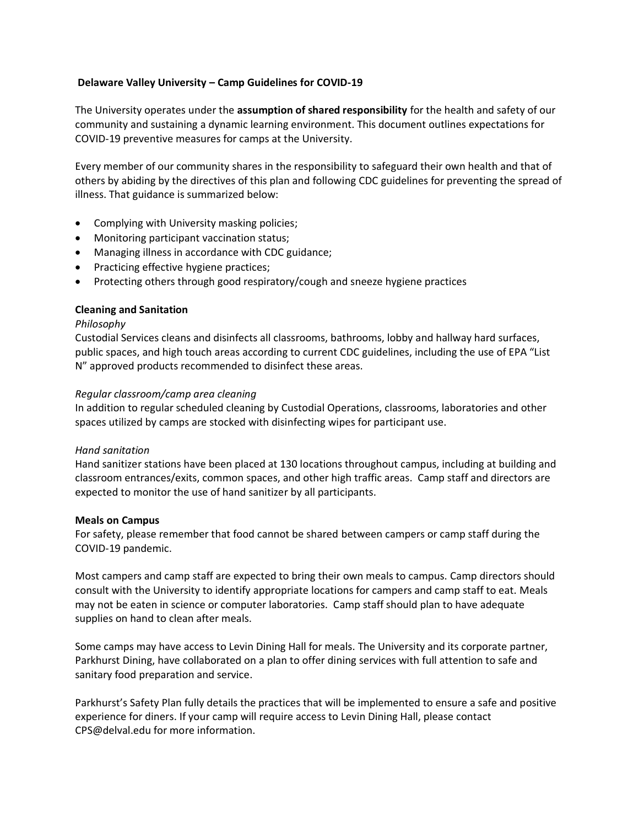# **Delaware Valley University – Camp Guidelines for COVID-19**

The University operates under the **assumption of shared responsibility** for the health and safety of our community and sustaining a dynamic learning environment. This document outlines expectations for COVID-19 preventive measures for camps at the University.

Every member of our community shares in the responsibility to safeguard their own health and that of others by abiding by the directives of this plan and following CDC guidelines for preventing the spread of illness. That guidance is summarized below:

- Complying with University masking policies;
- Monitoring participant vaccination status;
- Managing illness in accordance with CDC guidance;
- Practicing effective hygiene practices;
- Protecting others through good respiratory/cough and sneeze hygiene practices

## **Cleaning and Sanitation**

#### *Philosophy*

Custodial Services cleans and disinfects all classrooms, bathrooms, lobby and hallway hard surfaces, public spaces, and high touch areas according to current CDC guidelines, including the use of EPA "List N" approved products recommended to disinfect these areas.

#### *Regular classroom/camp area cleaning*

In addition to regular scheduled cleaning by Custodial Operations, classrooms, laboratories and other spaces utilized by camps are stocked with disinfecting wipes for participant use.

## *Hand sanitation*

Hand sanitizer stations have been placed at 130 locations throughout campus, including at building and classroom entrances/exits, common spaces, and other high traffic areas. Camp staff and directors are expected to monitor the use of hand sanitizer by all participants.

#### **Meals on Campus**

For safety, please remember that food cannot be shared between campers or camp staff during the COVID-19 pandemic.

Most campers and camp staff are expected to bring their own meals to campus. Camp directors should consult with the University to identify appropriate locations for campers and camp staff to eat. Meals may not be eaten in science or computer laboratories. Camp staff should plan to have adequate supplies on hand to clean after meals.

Some camps may have access to Levin Dining Hall for meals. The University and its corporate partner, Parkhurst Dining, have collaborated on a plan to offer dining services with full attention to safe and sanitary food preparation and service.

Parkhurst's Safety Plan fully details the practices that will be implemented to ensure a safe and positive experience for diners. If your camp will require access to Levin Dining Hall, please contact CPS@delval.edu for more information.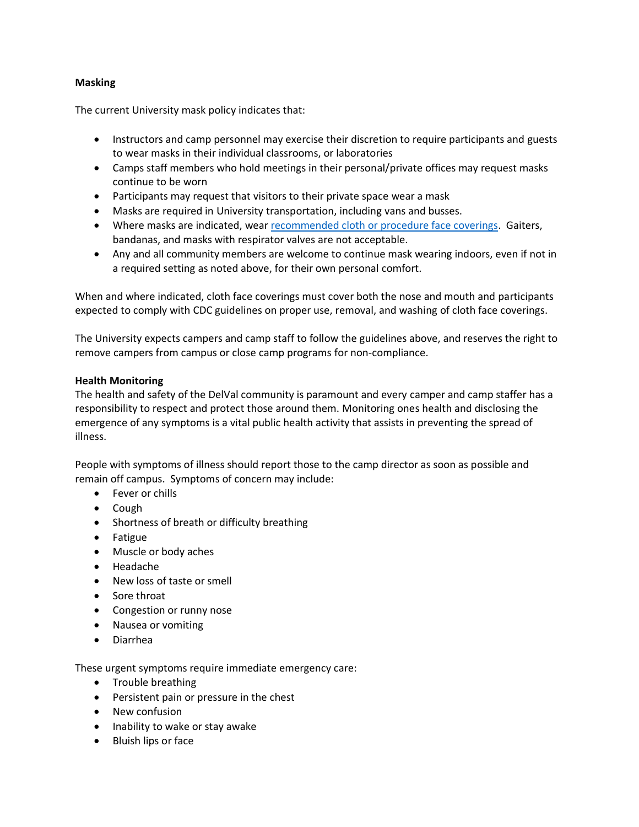# **Masking**

The current University mask policy indicates that:

- Instructors and camp personnel may exercise their discretion to require participants and guests to wear masks in their individual classrooms, or laboratories
- Camps staff members who hold meetings in their personal/private offices may request masks continue to be worn
- Participants may request that visitors to their private space wear a mask
- Masks are required in University transportation, including vans and busses.
- Where masks are indicated, wea[r recommended cloth or procedure face coverings.](https://www.cdc.gov/coronavirus/2019-ncov/prevent-getting-sick/types-of-masks.html) Gaiters, bandanas, and masks with respirator valves are not acceptable.
- Any and all community members are welcome to continue mask wearing indoors, even if not in a required setting as noted above, for their own personal comfort.

When and where indicated, cloth face coverings must cover both the nose and mouth and participants expected to comply with CDC guidelines on proper use, removal, and washing of cloth face coverings.

The University expects campers and camp staff to follow the guidelines above, and reserves the right to remove campers from campus or close camp programs for non-compliance.

## **Health Monitoring**

The health and safety of the DelVal community is paramount and every camper and camp staffer has a responsibility to respect and protect those around them. Monitoring ones health and disclosing the emergence of any symptoms is a vital public health activity that assists in preventing the spread of illness.

People with symptoms of illness should report those to the camp director as soon as possible and remain off campus. Symptoms of concern may include:

- Fever or chills
- Cough
- Shortness of breath or difficulty breathing
- Fatigue
- Muscle or body aches
- Headache
- New loss of taste or smell
- Sore throat
- Congestion or runny nose
- Nausea or vomiting
- Diarrhea

These urgent symptoms require immediate emergency care:

- Trouble breathing
- Persistent pain or pressure in the chest
- New confusion
- Inability to wake or stay awake
- Bluish lips or face